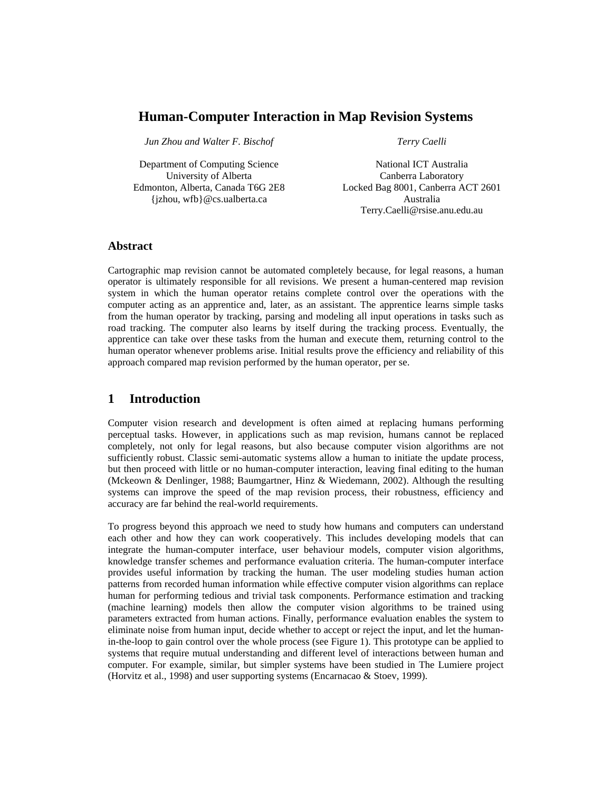# **Human-Computer Interaction in Map Revision Systems**

*Jun Zhou and Walter F. Bischof* 

Department of Computing Science University of Alberta Edmonton, Alberta, Canada T6G 2E8 {jzhou, wfb}@cs.ualberta.ca

*Terry Caelli* 

National ICT Australia Canberra Laboratory Locked Bag 8001, Canberra ACT 2601 Australia Terry.Caelli@rsise.anu.edu.au

### **Abstract**

Cartographic map revision cannot be automated completely because, for legal reasons, a human operator is ultimately responsible for all revisions. We present a human-centered map revision system in which the human operator retains complete control over the operations with the computer acting as an apprentice and, later, as an assistant. The apprentice learns simple tasks from the human operator by tracking, parsing and modeling all input operations in tasks such as road tracking. The computer also learns by itself during the tracking process. Eventually, the apprentice can take over these tasks from the human and execute them, returning control to the human operator whenever problems arise. Initial results prove the efficiency and reliability of this approach compared map revision performed by the human operator, per se.

# **1 Introduction**

Computer vision research and development is often aimed at replacing humans performing perceptual tasks. However, in applications such as map revision, humans cannot be replaced completely, not only for legal reasons, but also because computer vision algorithms are not sufficiently robust. Classic semi-automatic systems allow a human to initiate the update process, but then proceed with little or no human-computer interaction, leaving final editing to the human (Mckeown & Denlinger, 1988; Baumgartner, Hinz & Wiedemann, 2002). Although the resulting systems can improve the speed of the map revision process, their robustness, efficiency and accuracy are far behind the real-world requirements.

To progress beyond this approach we need to study how humans and computers can understand each other and how they can work cooperatively. This includes developing models that can integrate the human-computer interface, user behaviour models, computer vision algorithms, knowledge transfer schemes and performance evaluation criteria. The human-computer interface provides useful information by tracking the human. The user modeling studies human action patterns from recorded human information while effective computer vision algorithms can replace human for performing tedious and trivial task components. Performance estimation and tracking (machine learning) models then allow the computer vision algorithms to be trained using parameters extracted from human actions. Finally, performance evaluation enables the system to eliminate noise from human input, decide whether to accept or reject the input, and let the humanin-the-loop to gain control over the whole process (see Figure 1). This prototype can be applied to systems that require mutual understanding and different level of interactions between human and computer. For example, similar, but simpler systems have been studied in The Lumiere project (Horvitz et al., 1998) and user supporting systems (Encarnacao & Stoev, 1999).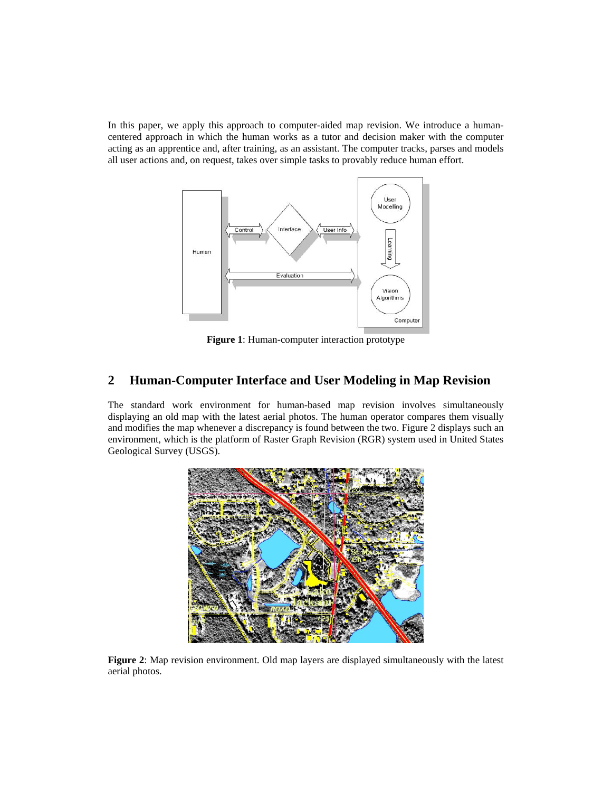In this paper, we apply this approach to computer-aided map revision. We introduce a humancentered approach in which the human works as a tutor and decision maker with the computer acting as an apprentice and, after training, as an assistant. The computer tracks, parses and models all user actions and, on request, takes over simple tasks to provably reduce human effort.



**Figure 1**: Human-computer interaction prototype

## **2 Human-Computer Interface and User Modeling in Map Revision**

The standard work environment for human-based map revision involves simultaneously displaying an old map with the latest aerial photos. The human operator compares them visually and modifies the map whenever a discrepancy is found between the two. Figure 2 displays such an environment, which is the platform of Raster Graph Revision (RGR) system used in United States Geological Survey (USGS).



**Figure 2**: Map revision environment. Old map layers are displayed simultaneously with the latest aerial photos.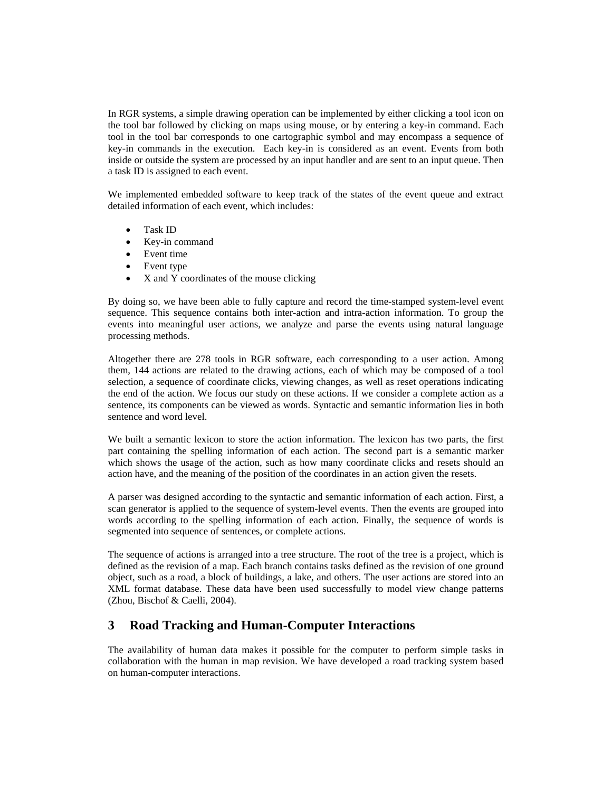In RGR systems, a simple drawing operation can be implemented by either clicking a tool icon on the tool bar followed by clicking on maps using mouse, or by entering a key-in command. Each tool in the tool bar corresponds to one cartographic symbol and may encompass a sequence of key-in commands in the execution. Each key-in is considered as an event. Events from both inside or outside the system are processed by an input handler and are sent to an input queue. Then a task ID is assigned to each event.

We implemented embedded software to keep track of the states of the event queue and extract detailed information of each event, which includes:

- Task ID
- Key-in command
- Event time
- Event type
- X and Y coordinates of the mouse clicking

By doing so, we have been able to fully capture and record the time-stamped system-level event sequence. This sequence contains both inter-action and intra-action information. To group the events into meaningful user actions, we analyze and parse the events using natural language processing methods.

Altogether there are 278 tools in RGR software, each corresponding to a user action. Among them, 144 actions are related to the drawing actions, each of which may be composed of a tool selection, a sequence of coordinate clicks, viewing changes, as well as reset operations indicating the end of the action. We focus our study on these actions. If we consider a complete action as a sentence, its components can be viewed as words. Syntactic and semantic information lies in both sentence and word level.

We built a semantic lexicon to store the action information. The lexicon has two parts, the first part containing the spelling information of each action. The second part is a semantic marker which shows the usage of the action, such as how many coordinate clicks and resets should an action have, and the meaning of the position of the coordinates in an action given the resets.

A parser was designed according to the syntactic and semantic information of each action. First, a scan generator is applied to the sequence of system-level events. Then the events are grouped into words according to the spelling information of each action. Finally, the sequence of words is segmented into sequence of sentences, or complete actions.

The sequence of actions is arranged into a tree structure. The root of the tree is a project, which is defined as the revision of a map. Each branch contains tasks defined as the revision of one ground object, such as a road, a block of buildings, a lake, and others. The user actions are stored into an XML format database. These data have been used successfully to model view change patterns (Zhou, Bischof & Caelli, 2004).

## **3 Road Tracking and Human-Computer Interactions**

The availability of human data makes it possible for the computer to perform simple tasks in collaboration with the human in map revision. We have developed a road tracking system based on human-computer interactions.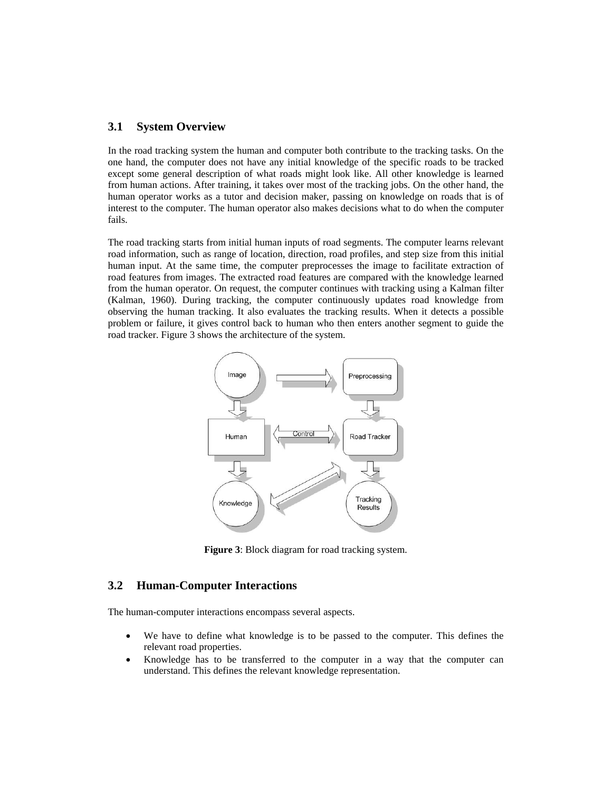### **3.1 System Overview**

In the road tracking system the human and computer both contribute to the tracking tasks. On the one hand, the computer does not have any initial knowledge of the specific roads to be tracked except some general description of what roads might look like. All other knowledge is learned from human actions. After training, it takes over most of the tracking jobs. On the other hand, the human operator works as a tutor and decision maker, passing on knowledge on roads that is of interest to the computer. The human operator also makes decisions what to do when the computer fails.

The road tracking starts from initial human inputs of road segments. The computer learns relevant road information, such as range of location, direction, road profiles, and step size from this initial human input. At the same time, the computer preprocesses the image to facilitate extraction of road features from images. The extracted road features are compared with the knowledge learned from the human operator. On request, the computer continues with tracking using a Kalman filter (Kalman, 1960). During tracking, the computer continuously updates road knowledge from observing the human tracking. It also evaluates the tracking results. When it detects a possible problem or failure, it gives control back to human who then enters another segment to guide the road tracker. Figure 3 shows the architecture of the system.



**Figure 3**: Block diagram for road tracking system.

## **3.2 Human-Computer Interactions**

The human-computer interactions encompass several aspects.

- We have to define what knowledge is to be passed to the computer. This defines the relevant road properties.
- Knowledge has to be transferred to the computer in a way that the computer can understand. This defines the relevant knowledge representation.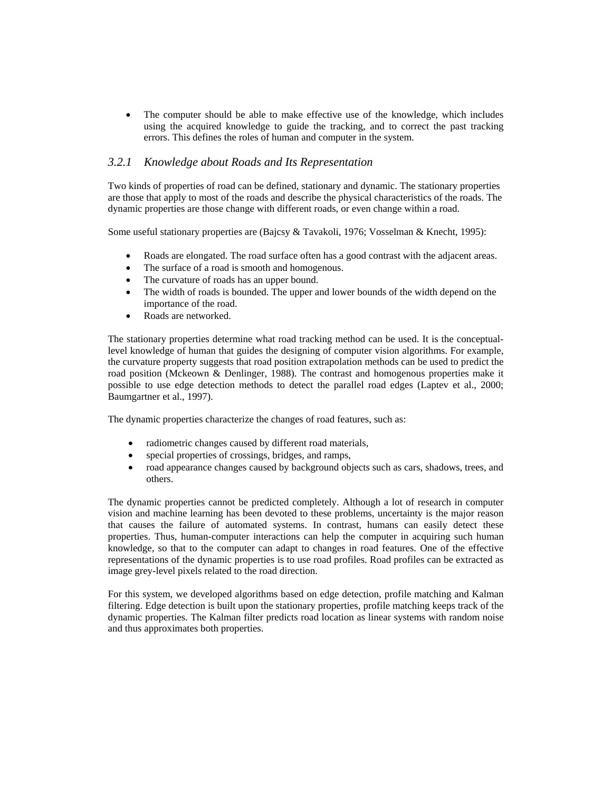• The computer should be able to make effective use of the knowledge, which includes using the acquired knowledge to guide the tracking, and to correct the past tracking errors. This defines the roles of human and computer in the system.

### *3.2.1 Knowledge about Roads and Its Representation*

Two kinds of properties of road can be defined, stationary and dynamic. The stationary properties are those that apply to most of the roads and describe the physical characteristics of the roads. The dynamic properties are those change with different roads, or even change within a road.

Some useful stationary properties are (Bajcsy & Tavakoli, 1976; Vosselman & Knecht, 1995):

- Roads are elongated. The road surface often has a good contrast with the adjacent areas.
- The surface of a road is smooth and homogenous.
- The curvature of roads has an upper bound.
- The width of roads is bounded. The upper and lower bounds of the width depend on the importance of the road.
- Roads are networked.

The stationary properties determine what road tracking method can be used. It is the conceptuallevel knowledge of human that guides the designing of computer vision algorithms. For example, the curvature property suggests that road position extrapolation methods can be used to predict the road position (Mckeown & Denlinger, 1988). The contrast and homogenous properties make it possible to use edge detection methods to detect the parallel road edges (Laptev et al., 2000; Baumgartner et al., 1997).

The dynamic properties characterize the changes of road features, such as:

- radiometric changes caused by different road materials,
- special properties of crossings, bridges, and ramps,
- road appearance changes caused by background objects such as cars, shadows, trees, and others.

The dynamic properties cannot be predicted completely. Although a lot of research in computer vision and machine learning has been devoted to these problems, uncertainty is the major reason that causes the failure of automated systems. In contrast, humans can easily detect these properties. Thus, human-computer interactions can help the computer in acquiring such human knowledge, so that to the computer can adapt to changes in road features. One of the effective representations of the dynamic properties is to use road profiles. Road profiles can be extracted as image grey-level pixels related to the road direction.

For this system, we developed algorithms based on edge detection, profile matching and Kalman filtering. Edge detection is built upon the stationary properties, profile matching keeps track of the dynamic properties. The Kalman filter predicts road location as linear systems with random noise and thus approximates both properties.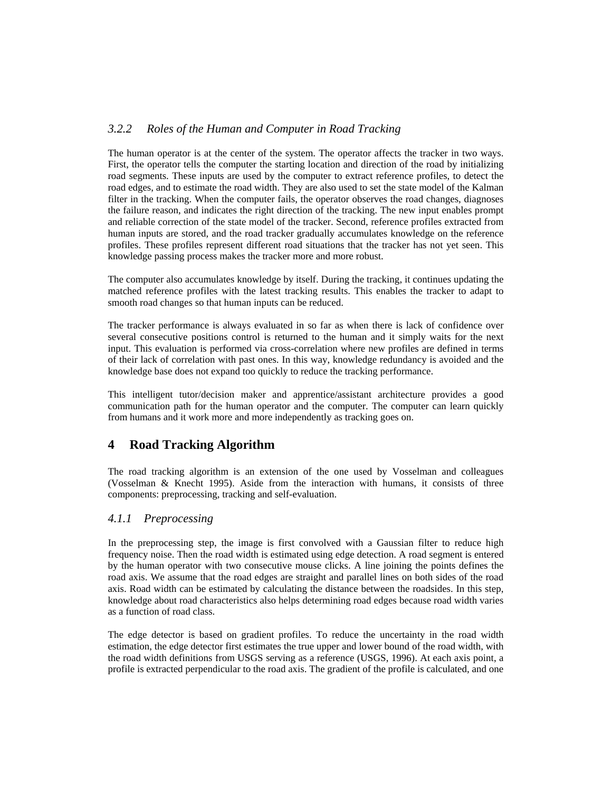## *3.2.2 Roles of the Human and Computer in Road Tracking*

The human operator is at the center of the system. The operator affects the tracker in two ways. First, the operator tells the computer the starting location and direction of the road by initializing road segments. These inputs are used by the computer to extract reference profiles, to detect the road edges, and to estimate the road width. They are also used to set the state model of the Kalman filter in the tracking. When the computer fails, the operator observes the road changes, diagnoses the failure reason, and indicates the right direction of the tracking. The new input enables prompt and reliable correction of the state model of the tracker. Second, reference profiles extracted from human inputs are stored, and the road tracker gradually accumulates knowledge on the reference profiles. These profiles represent different road situations that the tracker has not yet seen. This knowledge passing process makes the tracker more and more robust.

The computer also accumulates knowledge by itself. During the tracking, it continues updating the matched reference profiles with the latest tracking results. This enables the tracker to adapt to smooth road changes so that human inputs can be reduced.

The tracker performance is always evaluated in so far as when there is lack of confidence over several consecutive positions control is returned to the human and it simply waits for the next input. This evaluation is performed via cross-correlation where new profiles are defined in terms of their lack of correlation with past ones. In this way, knowledge redundancy is avoided and the knowledge base does not expand too quickly to reduce the tracking performance.

This intelligent tutor/decision maker and apprentice/assistant architecture provides a good communication path for the human operator and the computer. The computer can learn quickly from humans and it work more and more independently as tracking goes on.

# **4 Road Tracking Algorithm**

The road tracking algorithm is an extension of the one used by Vosselman and colleagues (Vosselman & Knecht 1995). Aside from the interaction with humans, it consists of three components: preprocessing, tracking and self-evaluation.

## *4.1.1 Preprocessing*

In the preprocessing step, the image is first convolved with a Gaussian filter to reduce high frequency noise. Then the road width is estimated using edge detection. A road segment is entered by the human operator with two consecutive mouse clicks. A line joining the points defines the road axis. We assume that the road edges are straight and parallel lines on both sides of the road axis. Road width can be estimated by calculating the distance between the roadsides. In this step, knowledge about road characteristics also helps determining road edges because road width varies as a function of road class.

The edge detector is based on gradient profiles. To reduce the uncertainty in the road width estimation, the edge detector first estimates the true upper and lower bound of the road width, with the road width definitions from USGS serving as a reference (USGS, 1996). At each axis point, a profile is extracted perpendicular to the road axis. The gradient of the profile is calculated, and one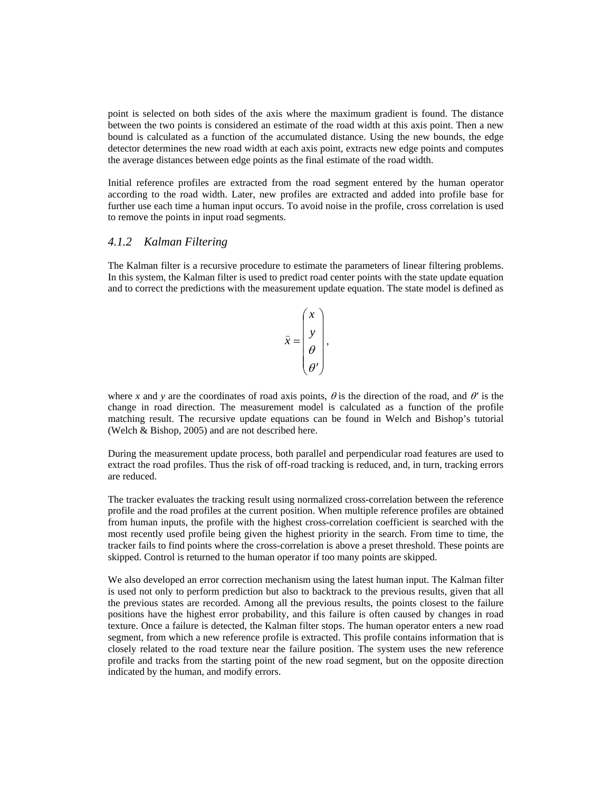point is selected on both sides of the axis where the maximum gradient is found. The distance between the two points is considered an estimate of the road width at this axis point. Then a new bound is calculated as a function of the accumulated distance. Using the new bounds, the edge detector determines the new road width at each axis point, extracts new edge points and computes the average distances between edge points as the final estimate of the road width.

Initial reference profiles are extracted from the road segment entered by the human operator according to the road width. Later, new profiles are extracted and added into profile base for further use each time a human input occurs. To avoid noise in the profile, cross correlation is used to remove the points in input road segments.

### *4.1.2 Kalman Filtering*

The Kalman filter is a recursive procedure to estimate the parameters of linear filtering problems. In this system, the Kalman filter is used to predict road center points with the state update equation and to correct the predictions with the measurement update equation. The state model is defined as

$$
\widehat{x} = \begin{pmatrix} x \\ y \\ \theta \\ \theta' \end{pmatrix},
$$

where *x* and *y* are the coordinates of road axis points,  $\theta$  is the direction of the road, and  $\theta$ <sup>'</sup> is the change in road direction. The measurement model is calculated as a function of the profile matching result. The recursive update equations can be found in Welch and Bishop's tutorial (Welch & Bishop, 2005) and are not described here.

During the measurement update process, both parallel and perpendicular road features are used to extract the road profiles. Thus the risk of off-road tracking is reduced, and, in turn, tracking errors are reduced.

The tracker evaluates the tracking result using normalized cross-correlation between the reference profile and the road profiles at the current position. When multiple reference profiles are obtained from human inputs, the profile with the highest cross-correlation coefficient is searched with the most recently used profile being given the highest priority in the search. From time to time, the tracker fails to find points where the cross-correlation is above a preset threshold. These points are skipped. Control is returned to the human operator if too many points are skipped.

We also developed an error correction mechanism using the latest human input. The Kalman filter is used not only to perform prediction but also to backtrack to the previous results, given that all the previous states are recorded. Among all the previous results, the points closest to the failure positions have the highest error probability, and this failure is often caused by changes in road texture. Once a failure is detected, the Kalman filter stops. The human operator enters a new road segment, from which a new reference profile is extracted. This profile contains information that is closely related to the road texture near the failure position. The system uses the new reference profile and tracks from the starting point of the new road segment, but on the opposite direction indicated by the human, and modify errors.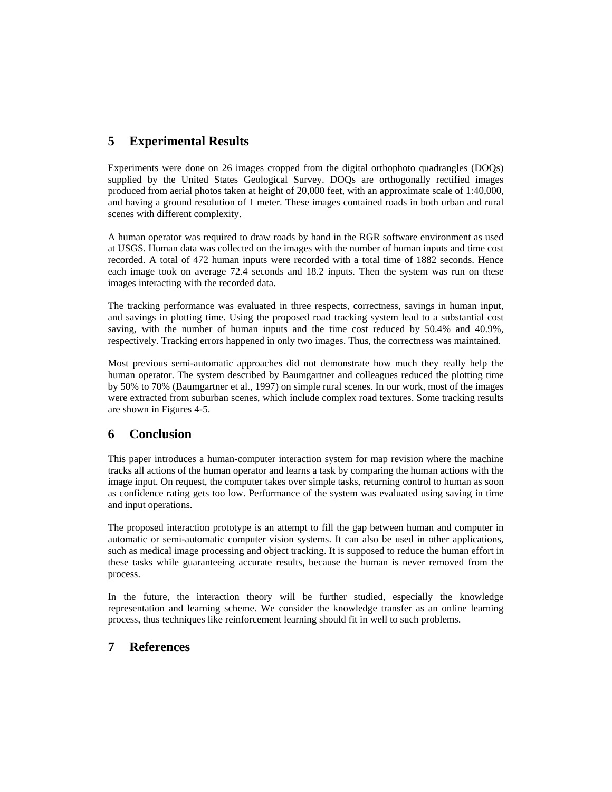# **5 Experimental Results**

Experiments were done on 26 images cropped from the digital orthophoto quadrangles (DOQs) supplied by the United States Geological Survey. DOQs are orthogonally rectified images produced from aerial photos taken at height of 20,000 feet, with an approximate scale of 1:40,000, and having a ground resolution of 1 meter. These images contained roads in both urban and rural scenes with different complexity.

A human operator was required to draw roads by hand in the RGR software environment as used at USGS. Human data was collected on the images with the number of human inputs and time cost recorded. A total of 472 human inputs were recorded with a total time of 1882 seconds. Hence each image took on average 72.4 seconds and 18.2 inputs. Then the system was run on these images interacting with the recorded data.

The tracking performance was evaluated in three respects, correctness, savings in human input, and savings in plotting time. Using the proposed road tracking system lead to a substantial cost saving, with the number of human inputs and the time cost reduced by 50.4% and 40.9%, respectively. Tracking errors happened in only two images. Thus, the correctness was maintained.

Most previous semi-automatic approaches did not demonstrate how much they really help the human operator. The system described by Baumgartner and colleagues reduced the plotting time by 50% to 70% (Baumgartner et al., 1997) on simple rural scenes. In our work, most of the images were extracted from suburban scenes, which include complex road textures. Some tracking results are shown in Figures 4-5.

# **6 Conclusion**

This paper introduces a human-computer interaction system for map revision where the machine tracks all actions of the human operator and learns a task by comparing the human actions with the image input. On request, the computer takes over simple tasks, returning control to human as soon as confidence rating gets too low. Performance of the system was evaluated using saving in time and input operations.

The proposed interaction prototype is an attempt to fill the gap between human and computer in automatic or semi-automatic computer vision systems. It can also be used in other applications, such as medical image processing and object tracking. It is supposed to reduce the human effort in these tasks while guaranteeing accurate results, because the human is never removed from the process.

In the future, the interaction theory will be further studied, especially the knowledge representation and learning scheme. We consider the knowledge transfer as an online learning process, thus techniques like reinforcement learning should fit in well to such problems.

# **7 References**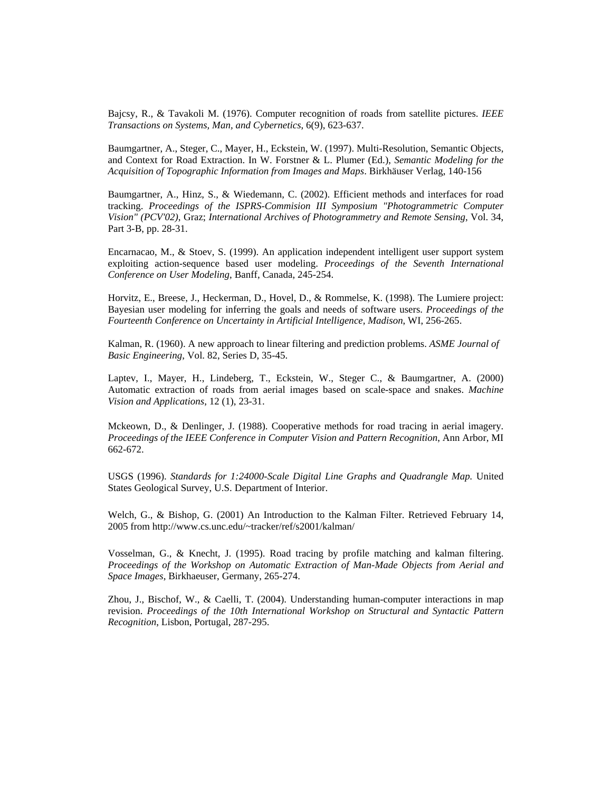Bajcsy, R., & Tavakoli M. (1976). Computer recognition of roads from satellite pictures. *IEEE Transactions on Systems, Man, and Cybernetics*, 6(9), 623-637.

Baumgartner, A., Steger, C., Mayer, H., Eckstein, W. (1997). Multi-Resolution, Semantic Objects, and Context for Road Extraction. In W. Forstner & L. Plumer (Ed.), *Semantic Modeling for the Acquisition of Topographic Information from Images and Maps*. Birkhäuser Verlag, 140-156

Baumgartner, A., Hinz, S., & Wiedemann, C. (2002). Efficient methods and interfaces for road tracking. *Proceedings of the ISPRS-Commision III Symposium "Photogrammetric Computer Vision" (PCV'02)*, Graz; *International Archives of Photogrammetry and Remote Sensing*, Vol. 34, Part 3-B, pp. 28-31.

Encarnacao, M., & Stoev, S. (1999). An application independent intelligent user support system exploiting action-sequence based user modeling. *Proceedings of the Seventh International Conference on User Modeling*, Banff, Canada, 245-254.

Horvitz, E., Breese, J., Heckerman, D., Hovel, D., & Rommelse, K. (1998). The Lumiere project: Bayesian user modeling for inferring the goals and needs of software users. *Proceedings of the Fourteenth Conference on Uncertainty in Artificial Intelligence, Madison*, WI, 256-265.

Kalman, R. (1960). A new approach to linear filtering and prediction problems. *ASME Journal of Basic Engineering*, Vol. 82, Series D, 35-45.

Laptev, I., Mayer, H., Lindeberg, T., Eckstein, W., Steger C., & Baumgartner, A. (2000) Automatic extraction of roads from aerial images based on scale-space and snakes. *Machine Vision and Applications*, 12 (1), 23-31.

Mckeown, D., & Denlinger, J. (1988). Cooperative methods for road tracing in aerial imagery. *Proceedings of the IEEE Conference in Computer Vision and Pattern Recognition*, Ann Arbor, MI 662-672.

USGS (1996). *Standards for 1:24000-Scale Digital Line Graphs and Quadrangle Map.* United States Geological Survey, U.S. Department of Interior.

Welch, G., & Bishop, G. (2001) An Introduction to the Kalman Filter. Retrieved February 14, 2005 from http://www.cs.unc.edu/~tracker/ref/s2001/kalman/

Vosselman, G., & Knecht, J. (1995). Road tracing by profile matching and kalman filtering. *Proceedings of the Workshop on Automatic Extraction of Man-Made Objects from Aerial and Space Images*, Birkhaeuser, Germany, 265-274.

Zhou, J., Bischof, W., & Caelli, T. (2004). Understanding human-computer interactions in map revision. *Proceedings of the 10th International Workshop on Structural and Syntactic Pattern Recognition*, Lisbon, Portugal, 287-295.